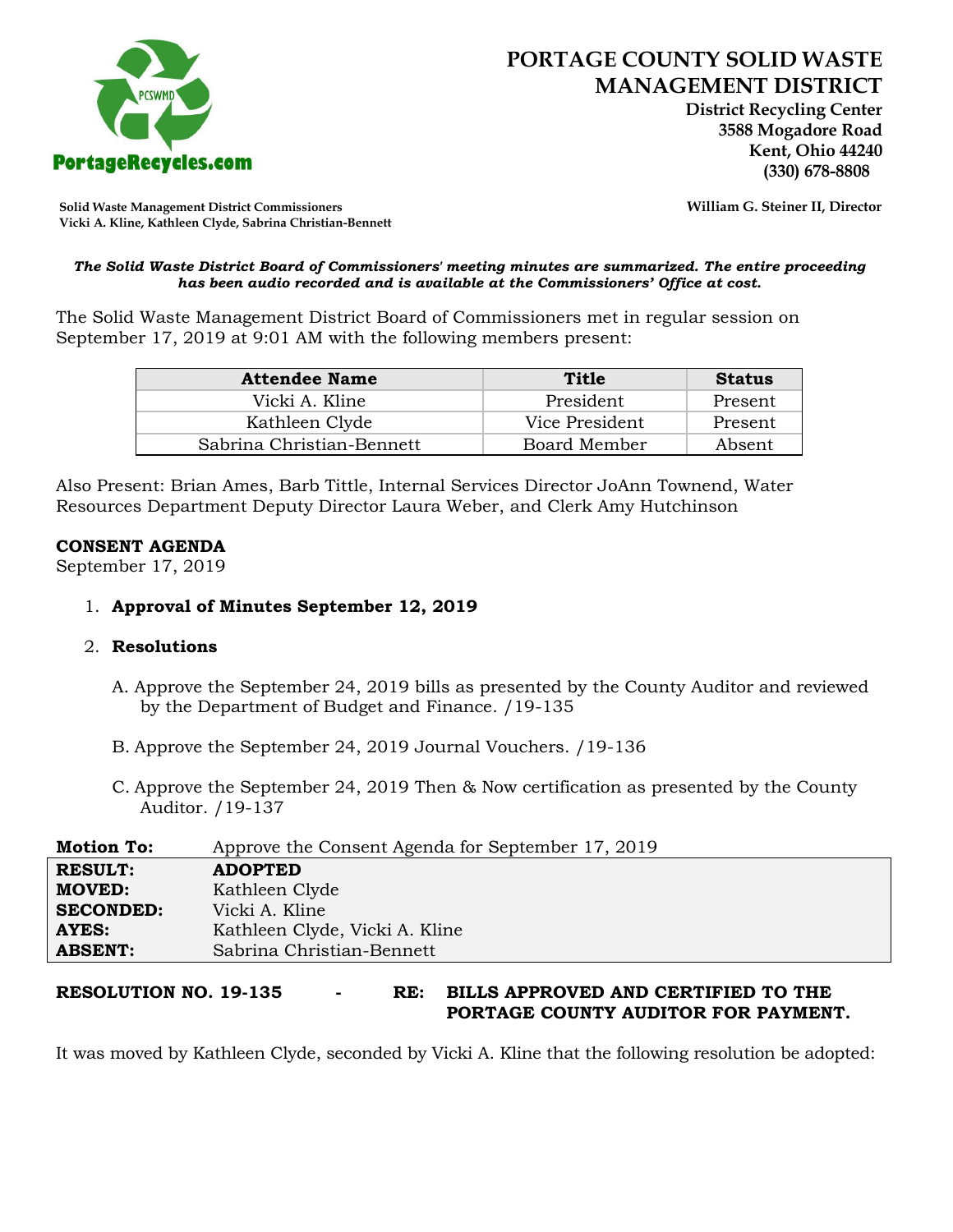

 **District Recycling Center 3588 Mogadore Road Kent, Ohio 44240**

**Solid Waste Management District Commissioners William G. Steiner II, Director Vicki A. Kline, Kathleen Clyde, Sabrina Christian-Bennett** 

#### *The Solid Waste District Board of Commissioners' meeting minutes are summarized. The entire proceeding has been audio recorded and is available at the Commissioners' Office at cost.*

The Solid Waste Management District Board of Commissioners met in regular session on September 17, 2019 at 9:01 AM with the following members present:

| <b>Attendee Name</b>      | Title          | <b>Status</b> |
|---------------------------|----------------|---------------|
| Vicki A. Kline            | President      | Present       |
| Kathleen Clyde            | Vice President | Present       |
| Sabrina Christian-Bennett | Board Member   | Absent        |

Also Present: Brian Ames, Barb Tittle, Internal Services Director JoAnn Townend, Water Resources Department Deputy Director Laura Weber, and Clerk Amy Hutchinson

### **CONSENT AGENDA**

September 17, 2019

# 1. **Approval of Minutes September 12, 2019**

### 2. **Resolutions**

- A. Approve the September 24, 2019 bills as presented by the County Auditor and reviewed by the Department of Budget and Finance. /19-135
- B. Approve the September 24, 2019 Journal Vouchers. /19-136
- C. Approve the September 24, 2019 Then & Now certification as presented by the County Auditor. /19-137

| <b>Motion To:</b> | Approve the Consent Agenda for September 17, 2019 |
|-------------------|---------------------------------------------------|
| <b>RESULT:</b>    | <b>ADOPTED</b>                                    |
| <b>MOVED:</b>     | Kathleen Clyde                                    |
| <b>SECONDED:</b>  | Vicki A. Kline                                    |
| <b>AYES:</b>      | Kathleen Clyde, Vicki A. Kline                    |
| <b>ABSENT:</b>    | Sabrina Christian-Bennett                         |

# **RESOLUTION NO. 19-135 - RE: BILLS APPROVED AND CERTIFIED TO THE PORTAGE COUNTY AUDITOR FOR PAYMENT.**

It was moved by Kathleen Clyde, seconded by Vicki A. Kline that the following resolution be adopted: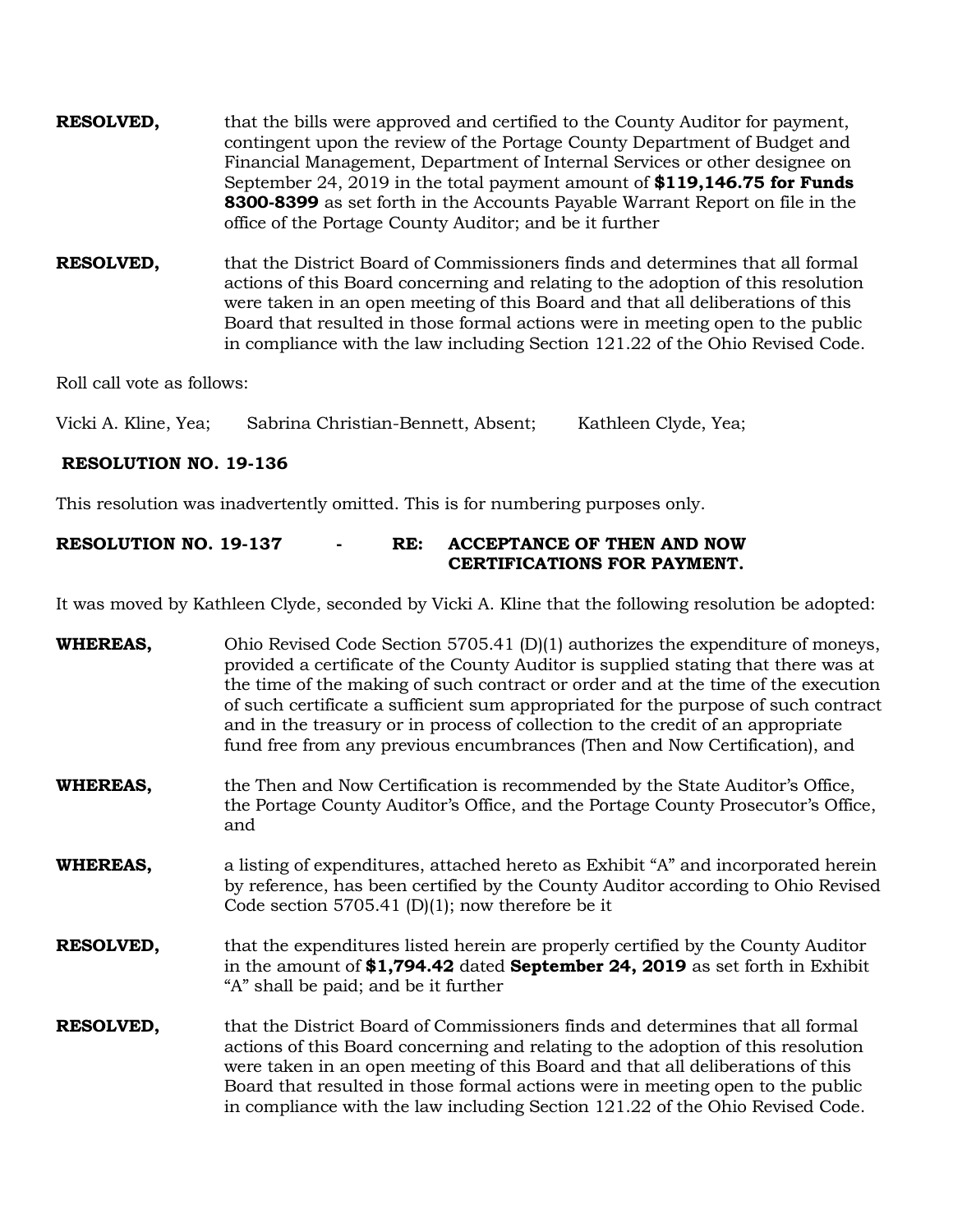- **RESOLVED,** that the bills were approved and certified to the County Auditor for payment, contingent upon the review of the Portage County Department of Budget and Financial Management, Department of Internal Services or other designee on September 24, 2019 in the total payment amount of **\$119,146.75 for Funds 8300-8399** as set forth in the Accounts Payable Warrant Report on file in the office of the Portage County Auditor; and be it further
- **RESOLVED,** that the District Board of Commissioners finds and determines that all formal actions of this Board concerning and relating to the adoption of this resolution were taken in an open meeting of this Board and that all deliberations of this Board that resulted in those formal actions were in meeting open to the public in compliance with the law including Section 121.22 of the Ohio Revised Code.

Roll call vote as follows:

Vicki A. Kline, Yea; Sabrina Christian-Bennett, Absent; Kathleen Clyde, Yea;

# **RESOLUTION NO. 19-136**

This resolution was inadvertently omitted. This is for numbering purposes only.

# **RESOLUTION NO. 19-137 - RE: ACCEPTANCE OF THEN AND NOW CERTIFICATIONS FOR PAYMENT.**

It was moved by Kathleen Clyde, seconded by Vicki A. Kline that the following resolution be adopted:

| <b>WHEREAS,</b>  | Ohio Revised Code Section 5705.41 $(D)(1)$ authorizes the expenditure of moneys,<br>provided a certificate of the County Auditor is supplied stating that there was at<br>the time of the making of such contract or order and at the time of the execution<br>of such certificate a sufficient sum appropriated for the purpose of such contract<br>and in the treasury or in process of collection to the credit of an appropriate<br>fund free from any previous encumbrances (Then and Now Certification), and |  |
|------------------|--------------------------------------------------------------------------------------------------------------------------------------------------------------------------------------------------------------------------------------------------------------------------------------------------------------------------------------------------------------------------------------------------------------------------------------------------------------------------------------------------------------------|--|
| <b>WHEREAS,</b>  | the Then and Now Certification is recommended by the State Auditor's Office,<br>the Portage County Auditor's Office, and the Portage County Prosecutor's Office,<br>and                                                                                                                                                                                                                                                                                                                                            |  |
| <b>WHEREAS,</b>  | a listing of expenditures, attached hereto as Exhibit "A" and incorporated herein<br>by reference, has been certified by the County Auditor according to Ohio Revised<br>Code section 5705.41 (D)(1); now therefore be it                                                                                                                                                                                                                                                                                          |  |
| <b>RESOLVED,</b> | that the expenditures listed herein are properly certified by the County Auditor<br>in the amount of \$1,794.42 dated September 24, 2019 as set forth in Exhibit<br>"A" shall be paid; and be it further                                                                                                                                                                                                                                                                                                           |  |
| <b>RESOLVED,</b> | that the District Board of Commissioners finds and determines that all formal<br>actions of this Board concerning and relating to the adoption of this resolution<br>were taken in an open meeting of this Board and that all deliberations of this<br>Board that resulted in those formal actions were in meeting open to the public<br>in compliance with the law including Section 121.22 of the Ohio Revised Code.                                                                                             |  |